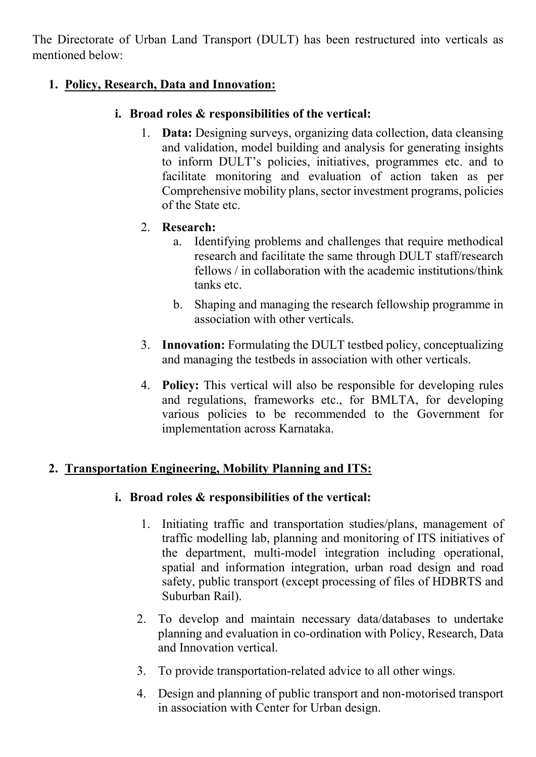The Directorate of Urban Land Transport (DULT) has been restructured into verticals as mentioned below:

#### **1. Policy, Research, Data and Innovation:**

#### **i. Broad roles & responsibilities of the vertical:**

1. **Data:** Designing surveys, organizing data collection, data cleansing and validation, model building and analysis for generating insights to inform DULT's policies, initiatives, programmes etc. and to facilitate monitoring and evaluation of action taken as per Comprehensive mobility plans, sector investment programs, policies of the State etc.

### 2. **Research:**

- a. Identifying problems and challenges that require methodical research and facilitate the same through DULT staff/research fellows / in collaboration with the academic institutions/think tanks etc.
- b. Shaping and managing the research fellowship programme in association with other verticals.
- 3. **Innovation:** Formulating the DULT testbed policy, conceptualizing and managing the testbeds in association with other verticals.
- 4. **Policy:** This vertical will also be responsible for developing rules and regulations, frameworks etc., for BMLTA, for developing various policies to be recommended to the Government for implementation across Karnataka.

# **2. Transportation Engineering, Mobility Planning and ITS:**

#### **i. Broad roles & responsibilities of the vertical:**

- 1. Initiating traffic and transportation studies/plans, management of traffic modelling lab, planning and monitoring of ITS initiatives of the department, multi-model integration including operational, spatial and information integration, urban road design and road safety, public transport (except processing of files of HDBRTS and Suburban Rail).
- 2. To develop and maintain necessary data/databases to undertake planning and evaluation in co-ordination with Policy, Research, Data and Innovation vertical.
- 3. To provide transportation-related advice to all other wings.
- 4. Design and planning of public transport and non-motorised transport in association with Center for Urban design.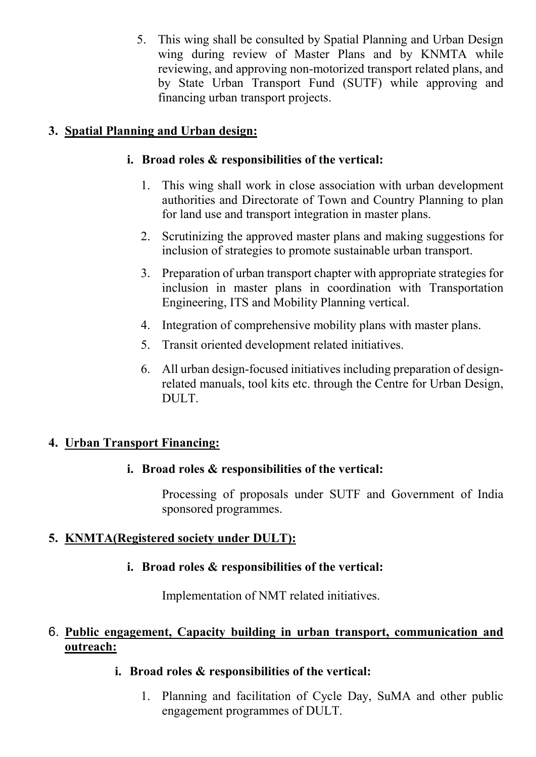5. This wing shall be consulted by Spatial Planning and Urban Design wing during review of Master Plans and by KNMTA while reviewing, and approving non-motorized transport related plans, and by State Urban Transport Fund (SUTF) while approving and financing urban transport projects.

# **3. Spatial Planning and Urban design:**

# **i. Broad roles & responsibilities of the vertical:**

- 1. This wing shall work in close association with urban development authorities and Directorate of Town and Country Planning to plan for land use and transport integration in master plans.
- 2. Scrutinizing the approved master plans and making suggestions for inclusion of strategies to promote sustainable urban transport.
- 3. Preparation of urban transport chapter with appropriate strategies for inclusion in master plans in coordination with Transportation Engineering, ITS and Mobility Planning vertical.
- 4. Integration of comprehensive mobility plans with master plans.
- 5. Transit oriented development related initiatives.
- 6. All urban design-focused initiatives including preparation of designrelated manuals, tool kits etc. through the Centre for Urban Design, DULT.

# **4. Urban Transport Financing:**

# **i. Broad roles & responsibilities of the vertical:**

Processing of proposals under SUTF and Government of India sponsored programmes.

# **5. KNMTA(Registered society under DULT):**

#### **i. Broad roles & responsibilities of the vertical:**

Implementation of NMT related initiatives.

#### 6. **Public engagement, Capacity building in urban transport, communication and outreach:**

#### **i. Broad roles & responsibilities of the vertical:**

1. Planning and facilitation of Cycle Day, SuMA and other public engagement programmes of DULT.